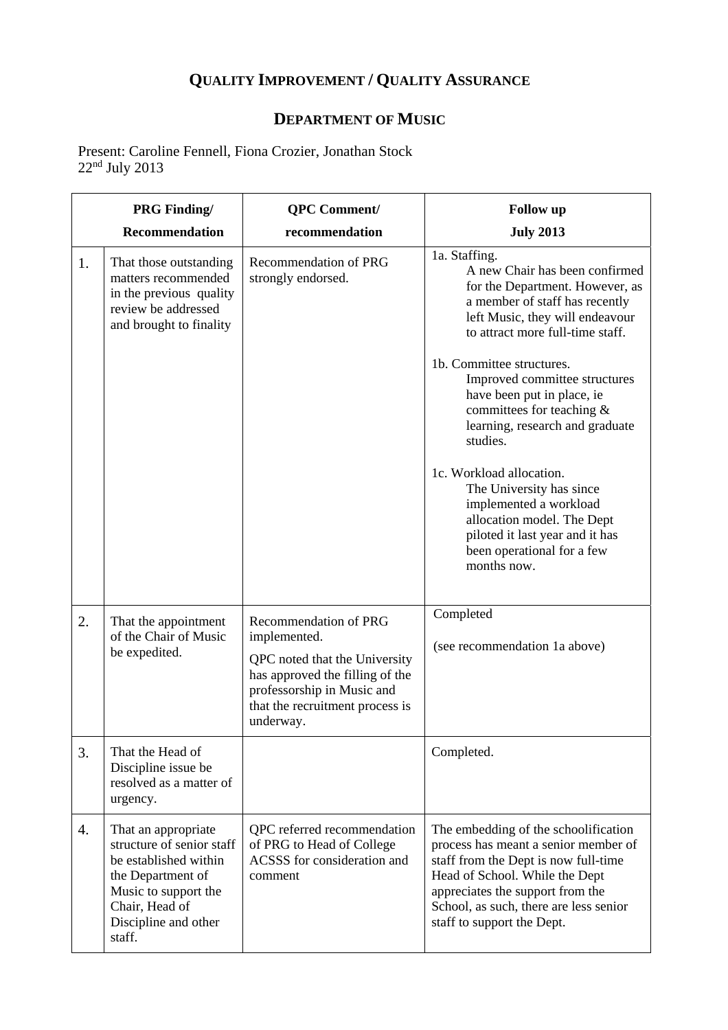## **QUALITY IMPROVEMENT / QUALITY ASSURANCE**

## **DEPARTMENT OF MUSIC**

Present: Caroline Fennell, Fiona Crozier, Jonathan Stock  $22^{\rm nd}$  July  $2013$ 

|    | <b>PRG Finding/</b>                                                                                                                                                        | <b>QPC</b> Comment/                                                                                                                                                                            | <b>Follow</b> up                                                                                                                                                                                                                                                                                                                                                                                                                                                                                                                                                    |
|----|----------------------------------------------------------------------------------------------------------------------------------------------------------------------------|------------------------------------------------------------------------------------------------------------------------------------------------------------------------------------------------|---------------------------------------------------------------------------------------------------------------------------------------------------------------------------------------------------------------------------------------------------------------------------------------------------------------------------------------------------------------------------------------------------------------------------------------------------------------------------------------------------------------------------------------------------------------------|
|    | Recommendation                                                                                                                                                             | recommendation                                                                                                                                                                                 | <b>July 2013</b>                                                                                                                                                                                                                                                                                                                                                                                                                                                                                                                                                    |
| 1. | That those outstanding<br>matters recommended<br>in the previous quality<br>review be addressed<br>and brought to finality                                                 | <b>Recommendation of PRG</b><br>strongly endorsed.                                                                                                                                             | 1a. Staffing.<br>A new Chair has been confirmed<br>for the Department. However, as<br>a member of staff has recently<br>left Music, they will endeavour<br>to attract more full-time staff.<br>1b. Committee structures.<br>Improved committee structures<br>have been put in place, ie<br>committees for teaching &<br>learning, research and graduate<br>studies.<br>1c. Workload allocation.<br>The University has since<br>implemented a workload<br>allocation model. The Dept<br>piloted it last year and it has<br>been operational for a few<br>months now. |
| 2. | That the appointment<br>of the Chair of Music<br>be expedited.                                                                                                             | <b>Recommendation of PRG</b><br>implemented.<br>QPC noted that the University<br>has approved the filling of the<br>professorship in Music and<br>that the recruitment process is<br>underway. | Completed<br>(see recommendation 1a above)                                                                                                                                                                                                                                                                                                                                                                                                                                                                                                                          |
| 3. | That the Head of<br>Discipline issue be<br>resolved as a matter of<br>urgency.                                                                                             |                                                                                                                                                                                                | Completed.                                                                                                                                                                                                                                                                                                                                                                                                                                                                                                                                                          |
| 4. | That an appropriate<br>structure of senior staff<br>be established within<br>the Department of<br>Music to support the<br>Chair, Head of<br>Discipline and other<br>staff. | QPC referred recommendation<br>of PRG to Head of College<br>ACSSS for consideration and<br>comment                                                                                             | The embedding of the schoolification<br>process has meant a senior member of<br>staff from the Dept is now full-time<br>Head of School. While the Dept<br>appreciates the support from the<br>School, as such, there are less senior<br>staff to support the Dept.                                                                                                                                                                                                                                                                                                  |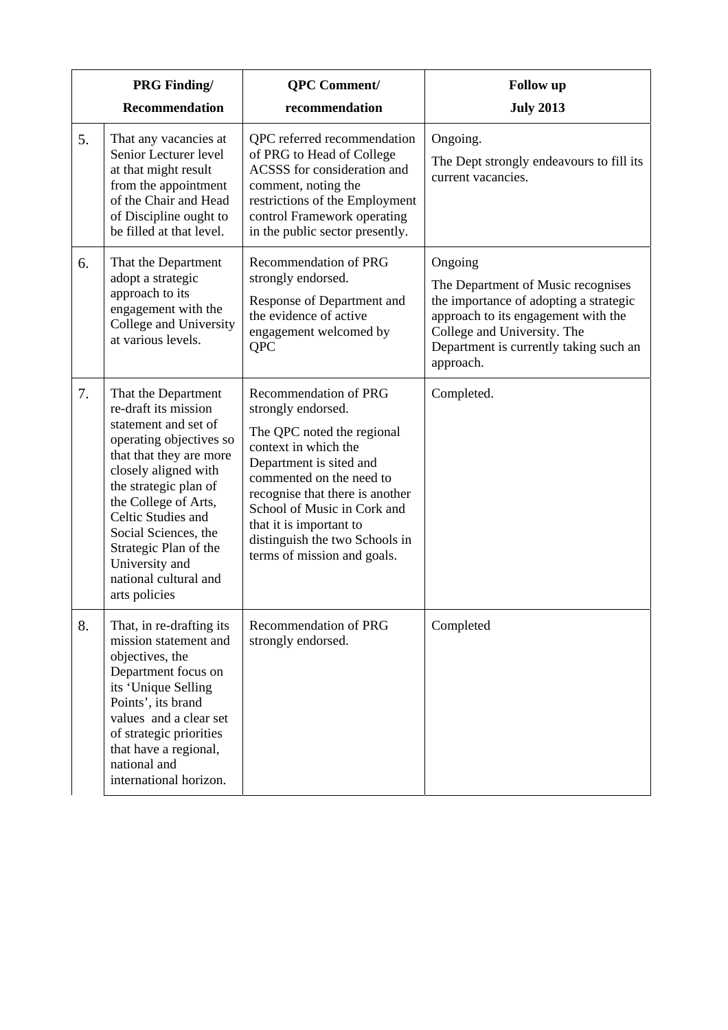|    | <b>PRG Finding/</b>                                                                                                                                                                                                                                                                                                                   | <b>QPC</b> Comment/                                                                                                                                                                                                                                                                                                    | <b>Follow</b> up                                                                                                                                                                                                     |
|----|---------------------------------------------------------------------------------------------------------------------------------------------------------------------------------------------------------------------------------------------------------------------------------------------------------------------------------------|------------------------------------------------------------------------------------------------------------------------------------------------------------------------------------------------------------------------------------------------------------------------------------------------------------------------|----------------------------------------------------------------------------------------------------------------------------------------------------------------------------------------------------------------------|
|    | <b>Recommendation</b>                                                                                                                                                                                                                                                                                                                 | recommendation                                                                                                                                                                                                                                                                                                         | <b>July 2013</b>                                                                                                                                                                                                     |
| 5. | That any vacancies at<br>Senior Lecturer level<br>at that might result<br>from the appointment<br>of the Chair and Head<br>of Discipline ought to<br>be filled at that level.                                                                                                                                                         | QPC referred recommendation<br>of PRG to Head of College<br>ACSSS for consideration and<br>comment, noting the<br>restrictions of the Employment<br>control Framework operating<br>in the public sector presently.                                                                                                     | Ongoing.<br>The Dept strongly endeavours to fill its<br>current vacancies.                                                                                                                                           |
| 6. | That the Department<br>adopt a strategic<br>approach to its<br>engagement with the<br>College and University<br>at various levels.                                                                                                                                                                                                    | Recommendation of PRG<br>strongly endorsed.<br>Response of Department and<br>the evidence of active<br>engagement welcomed by<br><b>QPC</b>                                                                                                                                                                            | Ongoing<br>The Department of Music recognises<br>the importance of adopting a strategic<br>approach to its engagement with the<br>College and University. The<br>Department is currently taking such an<br>approach. |
| 7. | That the Department<br>re-draft its mission<br>statement and set of<br>operating objectives so<br>that that they are more<br>closely aligned with<br>the strategic plan of<br>the College of Arts,<br>Celtic Studies and<br>Social Sciences, the<br>Strategic Plan of the<br>University and<br>national cultural and<br>arts policies | Recommendation of PRG<br>strongly endorsed.<br>The QPC noted the regional<br>context in which the<br>Department is sited and<br>commented on the need to<br>recognise that there is another<br>School of Music in Cork and<br>that it is important to<br>distinguish the two Schools in<br>terms of mission and goals. | Completed.                                                                                                                                                                                                           |
| 8. | That, in re-drafting its<br>mission statement and<br>objectives, the<br>Department focus on<br>its 'Unique Selling<br>Points', its brand<br>values and a clear set<br>of strategic priorities<br>that have a regional,<br>national and<br>international horizon.                                                                      | Recommendation of PRG<br>strongly endorsed.                                                                                                                                                                                                                                                                            | Completed                                                                                                                                                                                                            |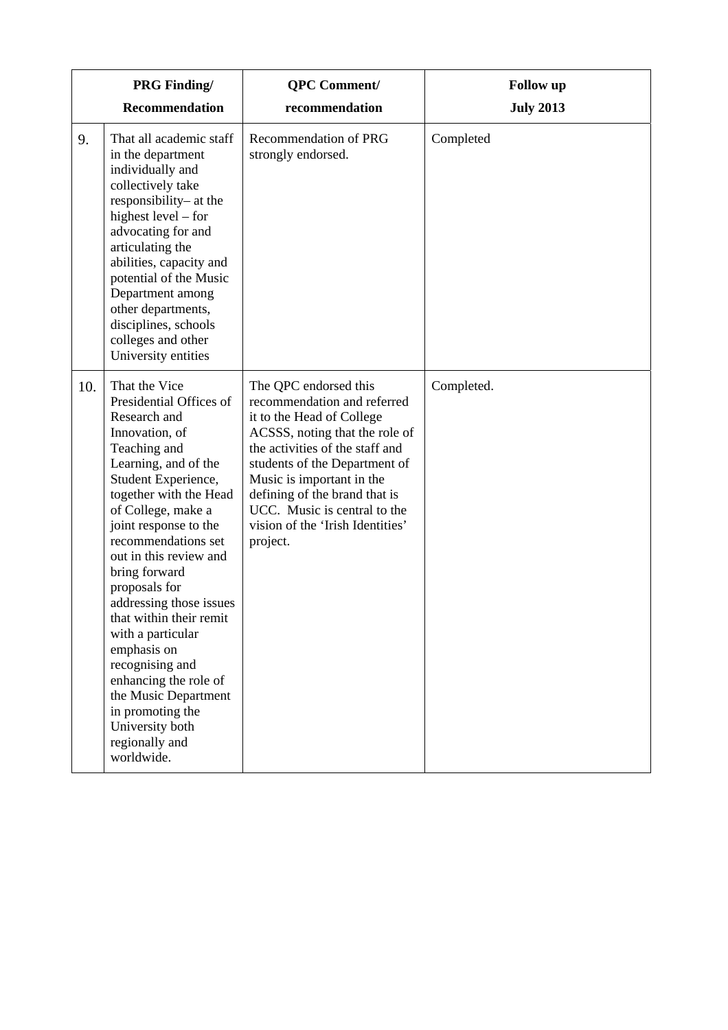|     | <b>PRG Finding/</b>                                                                                                                                                                                                                                                                                                                                                                                                                                                                                                                        | <b>QPC</b> Comment/                                                                                                                                                                                                                                                                                                                   | <b>Follow</b> up |
|-----|--------------------------------------------------------------------------------------------------------------------------------------------------------------------------------------------------------------------------------------------------------------------------------------------------------------------------------------------------------------------------------------------------------------------------------------------------------------------------------------------------------------------------------------------|---------------------------------------------------------------------------------------------------------------------------------------------------------------------------------------------------------------------------------------------------------------------------------------------------------------------------------------|------------------|
|     | Recommendation                                                                                                                                                                                                                                                                                                                                                                                                                                                                                                                             | recommendation                                                                                                                                                                                                                                                                                                                        | <b>July 2013</b> |
| 9.  | That all academic staff<br>in the department<br>individually and<br>collectively take<br>responsibility- at the<br>highest level – for<br>advocating for and<br>articulating the<br>abilities, capacity and<br>potential of the Music<br>Department among<br>other departments,<br>disciplines, schools<br>colleges and other<br>University entities                                                                                                                                                                                       | Recommendation of PRG<br>strongly endorsed.                                                                                                                                                                                                                                                                                           | Completed        |
| 10. | That the Vice<br>Presidential Offices of<br>Research and<br>Innovation, of<br>Teaching and<br>Learning, and of the<br>Student Experience,<br>together with the Head<br>of College, make a<br>joint response to the<br>recommendations set<br>out in this review and<br>bring forward<br>proposals for<br>addressing those issues<br>that within their remit<br>with a particular<br>emphasis on<br>recognising and<br>enhancing the role of<br>the Music Department<br>in promoting the<br>University both<br>regionally and<br>worldwide. | The QPC endorsed this<br>recommendation and referred<br>it to the Head of College<br>ACSSS, noting that the role of<br>the activities of the staff and<br>students of the Department of<br>Music is important in the<br>defining of the brand that is<br>UCC. Music is central to the<br>vision of the 'Irish Identities'<br>project. | Completed.       |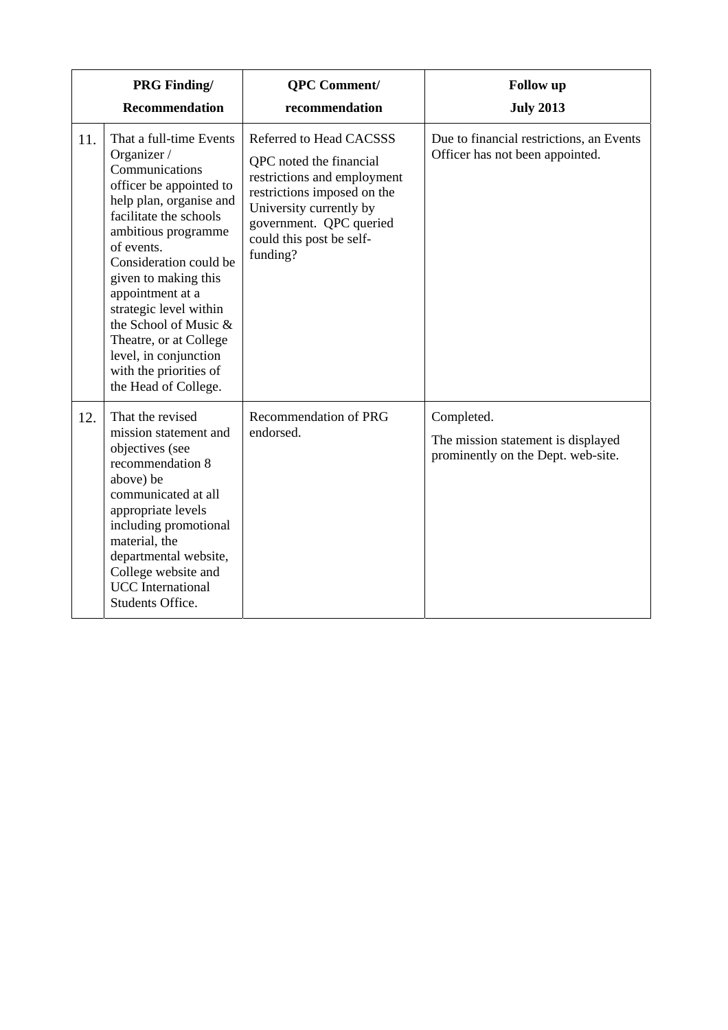|     | <b>PRG Finding/</b><br><b>Recommendation</b>                                                                                                                                                                                                                                                                                                                                                                | <b>QPC</b> Comment/<br>recommendation                                                                                                                                                                          | <b>Follow</b> up<br><b>July 2013</b>                                                   |
|-----|-------------------------------------------------------------------------------------------------------------------------------------------------------------------------------------------------------------------------------------------------------------------------------------------------------------------------------------------------------------------------------------------------------------|----------------------------------------------------------------------------------------------------------------------------------------------------------------------------------------------------------------|----------------------------------------------------------------------------------------|
| 11. | That a full-time Events<br>Organizer /<br>Communications<br>officer be appointed to<br>help plan, organise and<br>facilitate the schools<br>ambitious programme<br>of events.<br>Consideration could be<br>given to making this<br>appointment at a<br>strategic level within<br>the School of Music &<br>Theatre, or at College<br>level, in conjunction<br>with the priorities of<br>the Head of College. | Referred to Head CACSSS<br>QPC noted the financial<br>restrictions and employment<br>restrictions imposed on the<br>University currently by<br>government. QPC queried<br>could this post be self-<br>funding? | Due to financial restrictions, an Events<br>Officer has not been appointed.            |
| 12. | That the revised<br>mission statement and<br>objectives (see<br>recommendation 8<br>above) be<br>communicated at all<br>appropriate levels<br>including promotional<br>material, the<br>departmental website,<br>College website and<br><b>UCC</b> International<br>Students Office.                                                                                                                        | Recommendation of PRG<br>endorsed.                                                                                                                                                                             | Completed.<br>The mission statement is displayed<br>prominently on the Dept. web-site. |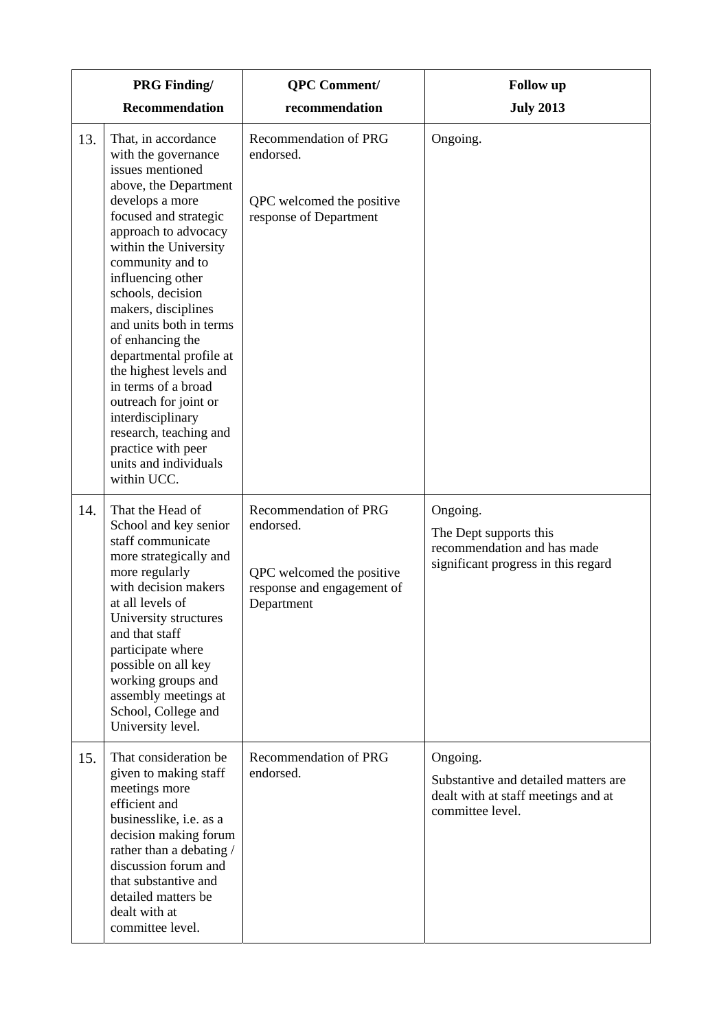|     | <b>PRG</b> Finding/                                                                                                                                                                                                                                                                                                                                                                                                                                                                                                                        | <b>QPC</b> Comment/                                                                                         | <b>Follow</b> up                                                                                            |
|-----|--------------------------------------------------------------------------------------------------------------------------------------------------------------------------------------------------------------------------------------------------------------------------------------------------------------------------------------------------------------------------------------------------------------------------------------------------------------------------------------------------------------------------------------------|-------------------------------------------------------------------------------------------------------------|-------------------------------------------------------------------------------------------------------------|
|     | Recommendation                                                                                                                                                                                                                                                                                                                                                                                                                                                                                                                             | recommendation                                                                                              | <b>July 2013</b>                                                                                            |
| 13. | That, in accordance<br>with the governance<br>issues mentioned<br>above, the Department<br>develops a more<br>focused and strategic<br>approach to advocacy<br>within the University<br>community and to<br>influencing other<br>schools, decision<br>makers, disciplines<br>and units both in terms<br>of enhancing the<br>departmental profile at<br>the highest levels and<br>in terms of a broad<br>outreach for joint or<br>interdisciplinary<br>research, teaching and<br>practice with peer<br>units and individuals<br>within UCC. | Recommendation of PRG<br>endorsed.<br>QPC welcomed the positive<br>response of Department                   | Ongoing.                                                                                                    |
| 14. | That the Head of<br>School and key senior<br>staff communicate<br>more strategically and<br>more regularly<br>with decision makers<br>at all levels of<br>University structures<br>and that staff<br>participate where<br>possible on all key<br>working groups and<br>assembly meetings at<br>School, College and<br>University level.                                                                                                                                                                                                    | Recommendation of PRG<br>endorsed.<br>QPC welcomed the positive<br>response and engagement of<br>Department | Ongoing.<br>The Dept supports this<br>recommendation and has made<br>significant progress in this regard    |
| 15. | That consideration be<br>given to making staff<br>meetings more<br>efficient and<br>businesslike, i.e. as a<br>decision making forum<br>rather than a debating /<br>discussion forum and<br>that substantive and<br>detailed matters be<br>dealt with at<br>committee level.                                                                                                                                                                                                                                                               | Recommendation of PRG<br>endorsed.                                                                          | Ongoing.<br>Substantive and detailed matters are<br>dealt with at staff meetings and at<br>committee level. |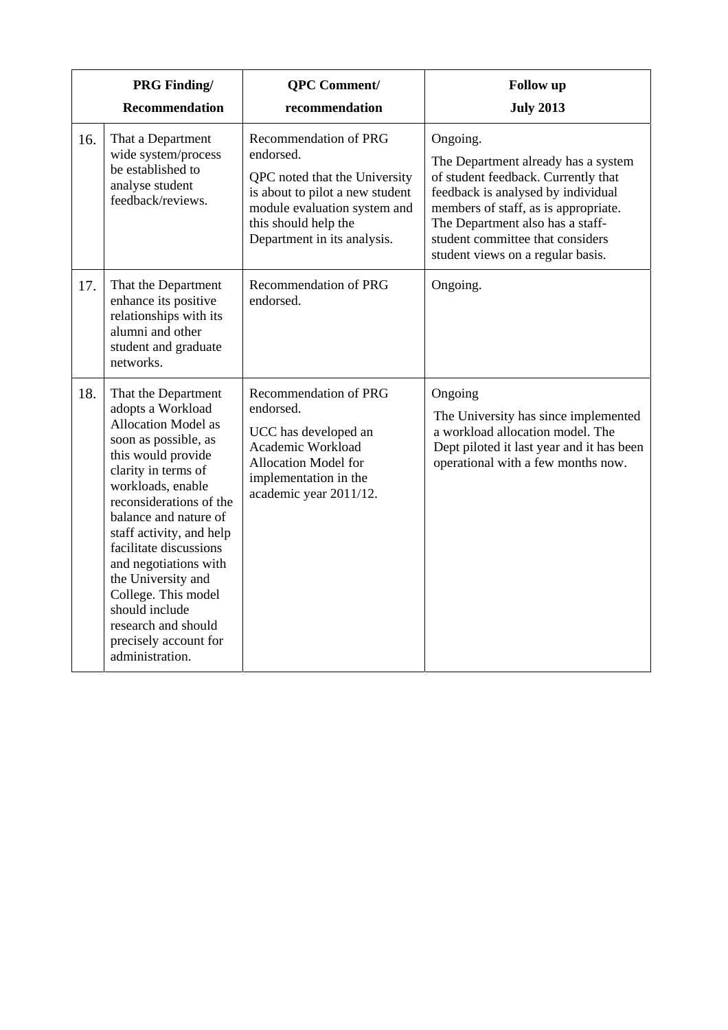|     | <b>PRG Finding/</b><br><b>Recommendation</b>                                                                                                                                                                                                                                                                                                                                                                                          | <b>QPC</b> Comment/<br>recommendation                                                                                                                                                         | <b>Follow</b> up<br><b>July 2013</b>                                                                                                                                                                                                                                              |
|-----|---------------------------------------------------------------------------------------------------------------------------------------------------------------------------------------------------------------------------------------------------------------------------------------------------------------------------------------------------------------------------------------------------------------------------------------|-----------------------------------------------------------------------------------------------------------------------------------------------------------------------------------------------|-----------------------------------------------------------------------------------------------------------------------------------------------------------------------------------------------------------------------------------------------------------------------------------|
| 16. | That a Department<br>wide system/process<br>be established to<br>analyse student<br>feedback/reviews.                                                                                                                                                                                                                                                                                                                                 | Recommendation of PRG<br>endorsed.<br>QPC noted that the University<br>is about to pilot a new student<br>module evaluation system and<br>this should help the<br>Department in its analysis. | Ongoing.<br>The Department already has a system<br>of student feedback. Currently that<br>feedback is analysed by individual<br>members of staff, as is appropriate.<br>The Department also has a staff-<br>student committee that considers<br>student views on a regular basis. |
| 17. | That the Department<br>enhance its positive<br>relationships with its<br>alumni and other<br>student and graduate<br>networks.                                                                                                                                                                                                                                                                                                        | Recommendation of PRG<br>endorsed.                                                                                                                                                            | Ongoing.                                                                                                                                                                                                                                                                          |
| 18. | That the Department<br>adopts a Workload<br><b>Allocation Model as</b><br>soon as possible, as<br>this would provide<br>clarity in terms of<br>workloads, enable<br>reconsiderations of the<br>balance and nature of<br>staff activity, and help<br>facilitate discussions<br>and negotiations with<br>the University and<br>College. This model<br>should include<br>research and should<br>precisely account for<br>administration. | Recommendation of PRG<br>endorsed.<br>UCC has developed an<br>Academic Workload<br>Allocation Model for<br>implementation in the<br>academic year 2011/12.                                    | Ongoing<br>The University has since implemented<br>a workload allocation model. The<br>Dept piloted it last year and it has been<br>operational with a few months now.                                                                                                            |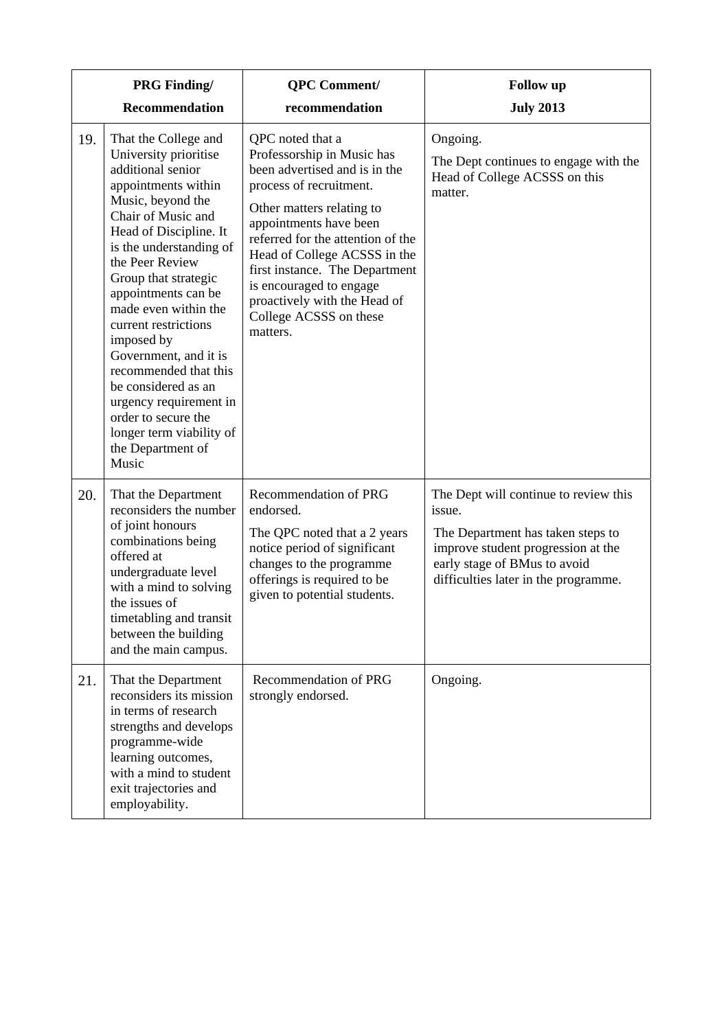|     | <b>PRG Finding/</b>                                                                                                                                                                                                                                                                                                                                                                                                                                                                                           | <b>QPC</b> Comment/                                                                                                                                                                                                                                                                                                                                                       | <b>Follow</b> up                                                                                                                                                                                   |
|-----|---------------------------------------------------------------------------------------------------------------------------------------------------------------------------------------------------------------------------------------------------------------------------------------------------------------------------------------------------------------------------------------------------------------------------------------------------------------------------------------------------------------|---------------------------------------------------------------------------------------------------------------------------------------------------------------------------------------------------------------------------------------------------------------------------------------------------------------------------------------------------------------------------|----------------------------------------------------------------------------------------------------------------------------------------------------------------------------------------------------|
|     | Recommendation                                                                                                                                                                                                                                                                                                                                                                                                                                                                                                | recommendation                                                                                                                                                                                                                                                                                                                                                            | <b>July 2013</b>                                                                                                                                                                                   |
| 19. | That the College and<br>University prioritise<br>additional senior<br>appointments within<br>Music, beyond the<br>Chair of Music and<br>Head of Discipline. It<br>is the understanding of<br>the Peer Review<br>Group that strategic<br>appointments can be<br>made even within the<br>current restrictions<br>imposed by<br>Government, and it is<br>recommended that this<br>be considered as an<br>urgency requirement in<br>order to secure the<br>longer term viability of<br>the Department of<br>Music | QPC noted that a<br>Professorship in Music has<br>been advertised and is in the<br>process of recruitment.<br>Other matters relating to<br>appointments have been<br>referred for the attention of the<br>Head of College ACSSS in the<br>first instance. The Department<br>is encouraged to engage<br>proactively with the Head of<br>College ACSSS on these<br>matters. | Ongoing.<br>The Dept continues to engage with the<br>Head of College ACSSS on this<br>matter.                                                                                                      |
| 20. | That the Department<br>reconsiders the number<br>of joint honours<br>combinations being<br>offered at<br>undergraduate level<br>with a mind to solving<br>the issues of<br>timetabling and transit<br>between the building<br>and the main campus.                                                                                                                                                                                                                                                            | Recommendation of PRG<br>endorsed.<br>The QPC noted that a 2 years<br>notice period of significant<br>changes to the programme<br>offerings is required to be<br>given to potential students.                                                                                                                                                                             | The Dept will continue to review this<br>issue.<br>The Department has taken steps to<br>improve student progression at the<br>early stage of BMus to avoid<br>difficulties later in the programme. |
| 21. | That the Department<br>reconsiders its mission<br>in terms of research<br>strengths and develops<br>programme-wide<br>learning outcomes,<br>with a mind to student<br>exit trajectories and<br>employability.                                                                                                                                                                                                                                                                                                 | Recommendation of PRG<br>strongly endorsed.                                                                                                                                                                                                                                                                                                                               | Ongoing.                                                                                                                                                                                           |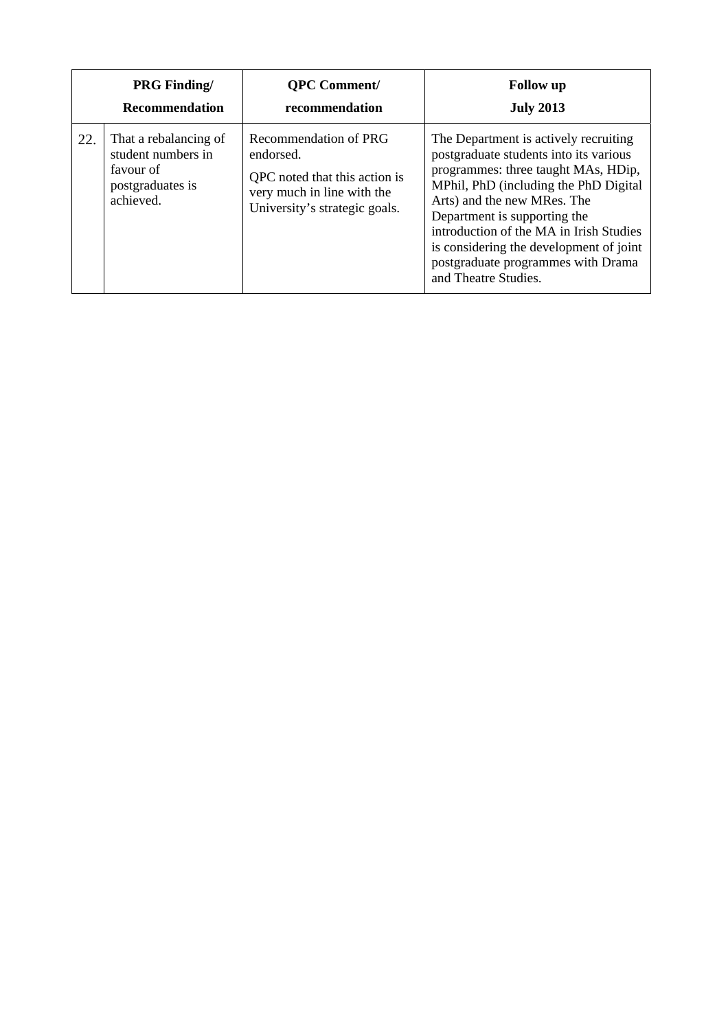|     | <b>PRG Finding/</b>                                                                       | <b>QPC Comment/</b>                                                                                                                | <b>Follow</b> up                                                                                                                                                                                                                                                                                                                                                                   |
|-----|-------------------------------------------------------------------------------------------|------------------------------------------------------------------------------------------------------------------------------------|------------------------------------------------------------------------------------------------------------------------------------------------------------------------------------------------------------------------------------------------------------------------------------------------------------------------------------------------------------------------------------|
|     | <b>Recommendation</b>                                                                     | recommendation                                                                                                                     | <b>July 2013</b>                                                                                                                                                                                                                                                                                                                                                                   |
| 22. | That a rebalancing of<br>student numbers in<br>favour of<br>postgraduates is<br>achieved. | Recommendation of PRG<br>endorsed.<br>QPC noted that this action is<br>very much in line with the<br>University's strategic goals. | The Department is actively recruiting<br>postgraduate students into its various<br>programmes: three taught MAs, HDip,<br>MPhil, PhD (including the PhD Digital<br>Arts) and the new MRes. The<br>Department is supporting the<br>introduction of the MA in Irish Studies<br>is considering the development of joint<br>postgraduate programmes with Drama<br>and Theatre Studies. |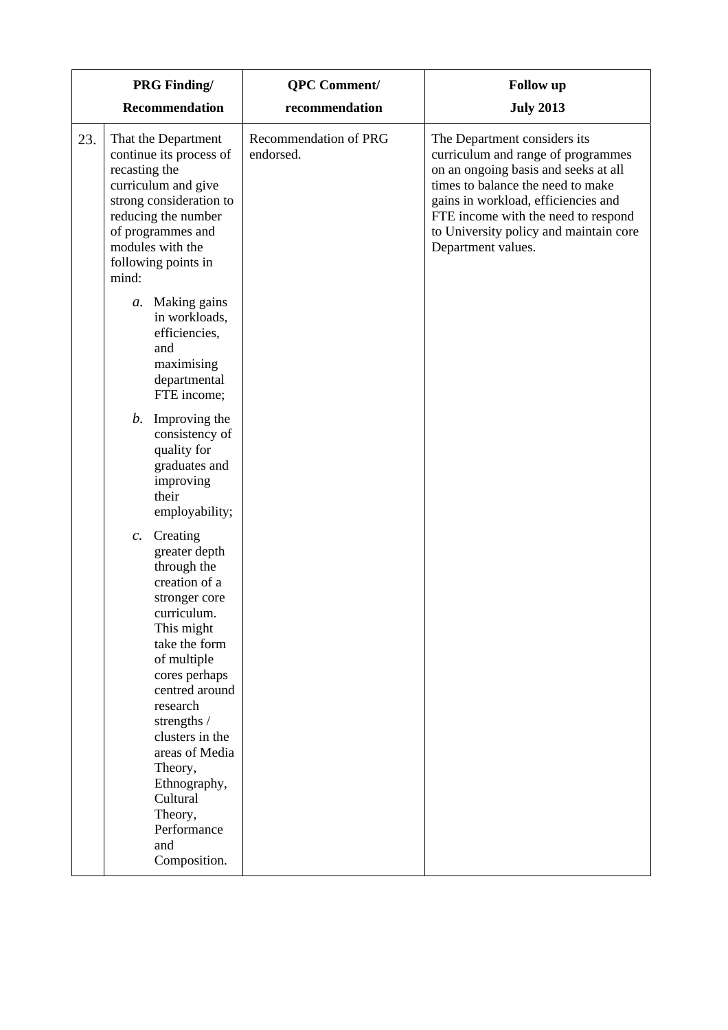|     | <b>PRG Finding/</b>                                                                                                                                                                                                                                                                                                                         | <b>QPC</b> Comment/                | <b>Follow</b> up                                                                                                                                                                                                                                                                              |
|-----|---------------------------------------------------------------------------------------------------------------------------------------------------------------------------------------------------------------------------------------------------------------------------------------------------------------------------------------------|------------------------------------|-----------------------------------------------------------------------------------------------------------------------------------------------------------------------------------------------------------------------------------------------------------------------------------------------|
|     | <b>Recommendation</b>                                                                                                                                                                                                                                                                                                                       | recommendation                     | <b>July 2013</b>                                                                                                                                                                                                                                                                              |
| 23. | That the Department<br>continue its process of<br>recasting the<br>curriculum and give<br>strong consideration to<br>reducing the number<br>of programmes and<br>modules with the<br>following points in<br>mind:                                                                                                                           | Recommendation of PRG<br>endorsed. | The Department considers its<br>curriculum and range of programmes<br>on an ongoing basis and seeks at all<br>times to balance the need to make<br>gains in workload, efficiencies and<br>FTE income with the need to respond<br>to University policy and maintain core<br>Department values. |
|     | Making gains<br>a.<br>in workloads,<br>efficiencies,<br>and<br>maximising<br>departmental<br>FTE income;                                                                                                                                                                                                                                    |                                    |                                                                                                                                                                                                                                                                                               |
|     | b.<br>Improving the<br>consistency of<br>quality for<br>graduates and<br>improving<br>their<br>employability;                                                                                                                                                                                                                               |                                    |                                                                                                                                                                                                                                                                                               |
|     | Creating<br>$c$ .<br>greater depth<br>through the<br>creation of a<br>stronger core<br>curriculum.<br>This might<br>take the form<br>of multiple<br>cores perhaps<br>centred around<br>research<br>strengths /<br>clusters in the<br>areas of Media<br>Theory,<br>Ethnography,<br>Cultural<br>Theory,<br>Performance<br>and<br>Composition. |                                    |                                                                                                                                                                                                                                                                                               |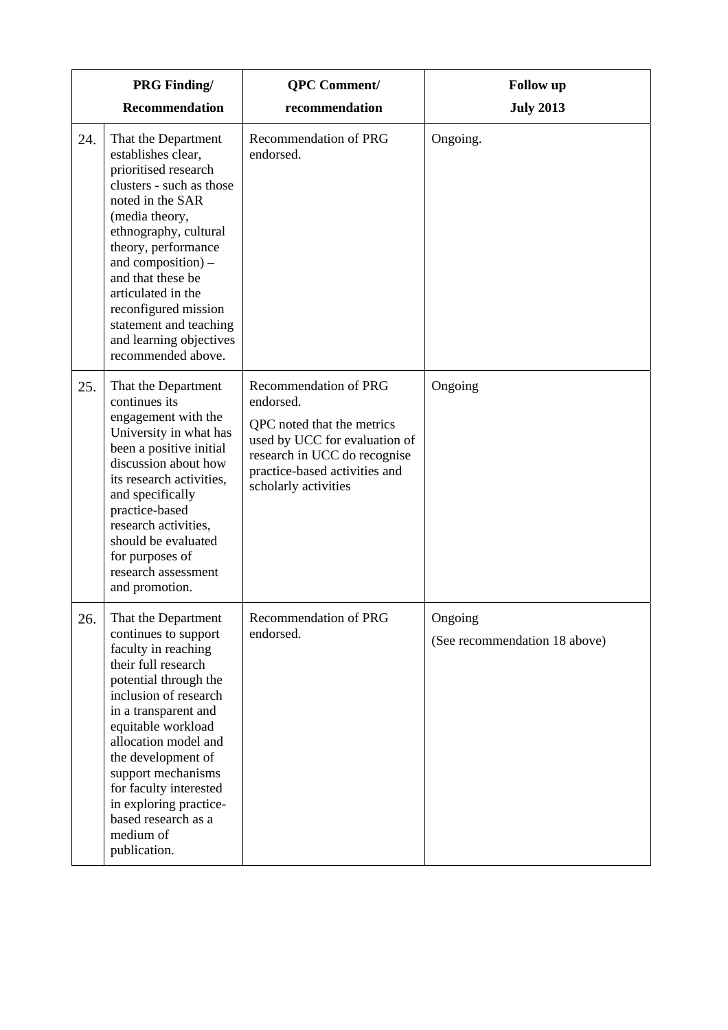|     | <b>PRG Finding/</b>                                                                                                                                                                                                                                                                                                                                                   | <b>QPC</b> Comment/                                                                                                                                                                        | <b>Follow</b> up                         |
|-----|-----------------------------------------------------------------------------------------------------------------------------------------------------------------------------------------------------------------------------------------------------------------------------------------------------------------------------------------------------------------------|--------------------------------------------------------------------------------------------------------------------------------------------------------------------------------------------|------------------------------------------|
|     | <b>Recommendation</b>                                                                                                                                                                                                                                                                                                                                                 | recommendation                                                                                                                                                                             | <b>July 2013</b>                         |
| 24. | That the Department<br>establishes clear,<br>prioritised research<br>clusters - such as those<br>noted in the SAR<br>(media theory,<br>ethnography, cultural<br>theory, performance<br>and composition) –<br>and that these be<br>articulated in the<br>reconfigured mission<br>statement and teaching<br>and learning objectives<br>recommended above.               | <b>Recommendation of PRG</b><br>endorsed.                                                                                                                                                  | Ongoing.                                 |
| 25. | That the Department<br>continues its<br>engagement with the<br>University in what has<br>been a positive initial<br>discussion about how<br>its research activities,<br>and specifically<br>practice-based<br>research activities,<br>should be evaluated<br>for purposes of<br>research assessment<br>and promotion.                                                 | Recommendation of PRG<br>endorsed.<br>QPC noted that the metrics<br>used by UCC for evaluation of<br>research in UCC do recognise<br>practice-based activities and<br>scholarly activities | Ongoing                                  |
| 26. | That the Department<br>continues to support<br>faculty in reaching<br>their full research<br>potential through the<br>inclusion of research<br>in a transparent and<br>equitable workload<br>allocation model and<br>the development of<br>support mechanisms<br>for faculty interested<br>in exploring practice-<br>based research as a<br>medium of<br>publication. | Recommendation of PRG<br>endorsed.                                                                                                                                                         | Ongoing<br>(See recommendation 18 above) |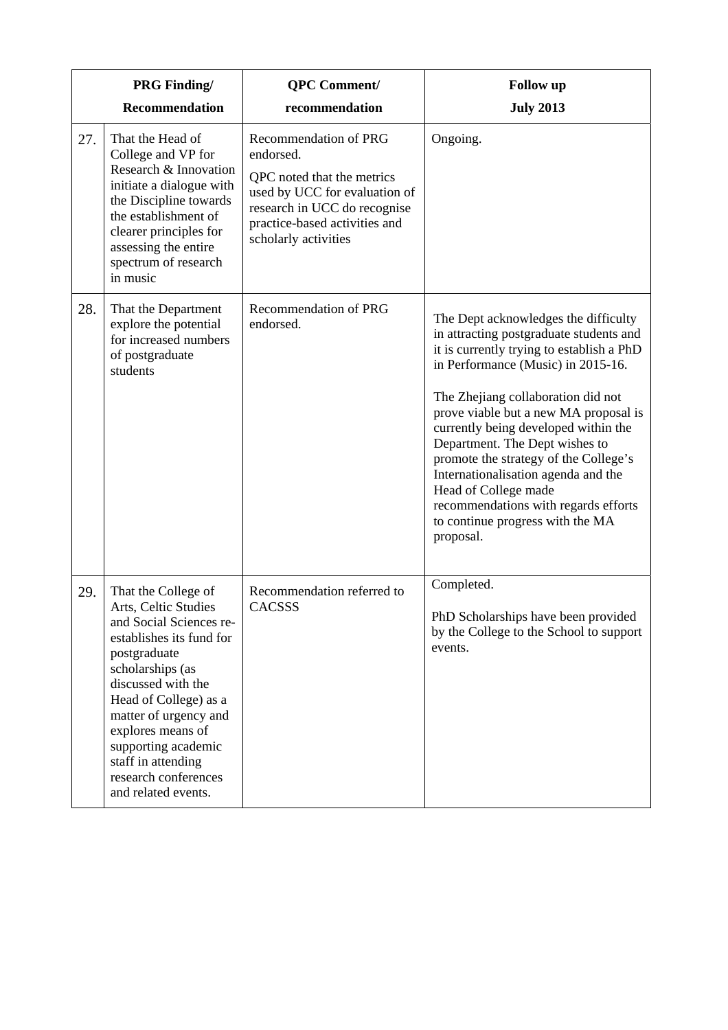|     | <b>PRG Finding/</b>                                                                                                                                                                                                                                                                                                             | <b>QPC</b> Comment/                                                                                                                                                                               | <b>Follow</b> up                                                                                                                                                                                                                                                                                                                                                                                                                                                                                                             |
|-----|---------------------------------------------------------------------------------------------------------------------------------------------------------------------------------------------------------------------------------------------------------------------------------------------------------------------------------|---------------------------------------------------------------------------------------------------------------------------------------------------------------------------------------------------|------------------------------------------------------------------------------------------------------------------------------------------------------------------------------------------------------------------------------------------------------------------------------------------------------------------------------------------------------------------------------------------------------------------------------------------------------------------------------------------------------------------------------|
|     | <b>Recommendation</b>                                                                                                                                                                                                                                                                                                           | recommendation                                                                                                                                                                                    | <b>July 2013</b>                                                                                                                                                                                                                                                                                                                                                                                                                                                                                                             |
| 27. | That the Head of<br>College and VP for<br>Research & Innovation<br>initiate a dialogue with<br>the Discipline towards<br>the establishment of<br>clearer principles for<br>assessing the entire<br>spectrum of research<br>in music                                                                                             | <b>Recommendation of PRG</b><br>endorsed.<br>QPC noted that the metrics<br>used by UCC for evaluation of<br>research in UCC do recognise<br>practice-based activities and<br>scholarly activities | Ongoing.                                                                                                                                                                                                                                                                                                                                                                                                                                                                                                                     |
| 28. | That the Department<br>explore the potential<br>for increased numbers<br>of postgraduate<br>students                                                                                                                                                                                                                            | Recommendation of PRG<br>endorsed.                                                                                                                                                                | The Dept acknowledges the difficulty<br>in attracting postgraduate students and<br>it is currently trying to establish a PhD<br>in Performance (Music) in 2015-16.<br>The Zhejiang collaboration did not<br>prove viable but a new MA proposal is<br>currently being developed within the<br>Department. The Dept wishes to<br>promote the strategy of the College's<br>Internationalisation agenda and the<br>Head of College made<br>recommendations with regards efforts<br>to continue progress with the MA<br>proposal. |
| 29. | That the College of<br>Arts, Celtic Studies<br>and Social Sciences re-<br>establishes its fund for<br>postgraduate<br>scholarships (as<br>discussed with the<br>Head of College) as a<br>matter of urgency and<br>explores means of<br>supporting academic<br>staff in attending<br>research conferences<br>and related events. | Recommendation referred to<br><b>CACSSS</b>                                                                                                                                                       | Completed.<br>PhD Scholarships have been provided<br>by the College to the School to support<br>events.                                                                                                                                                                                                                                                                                                                                                                                                                      |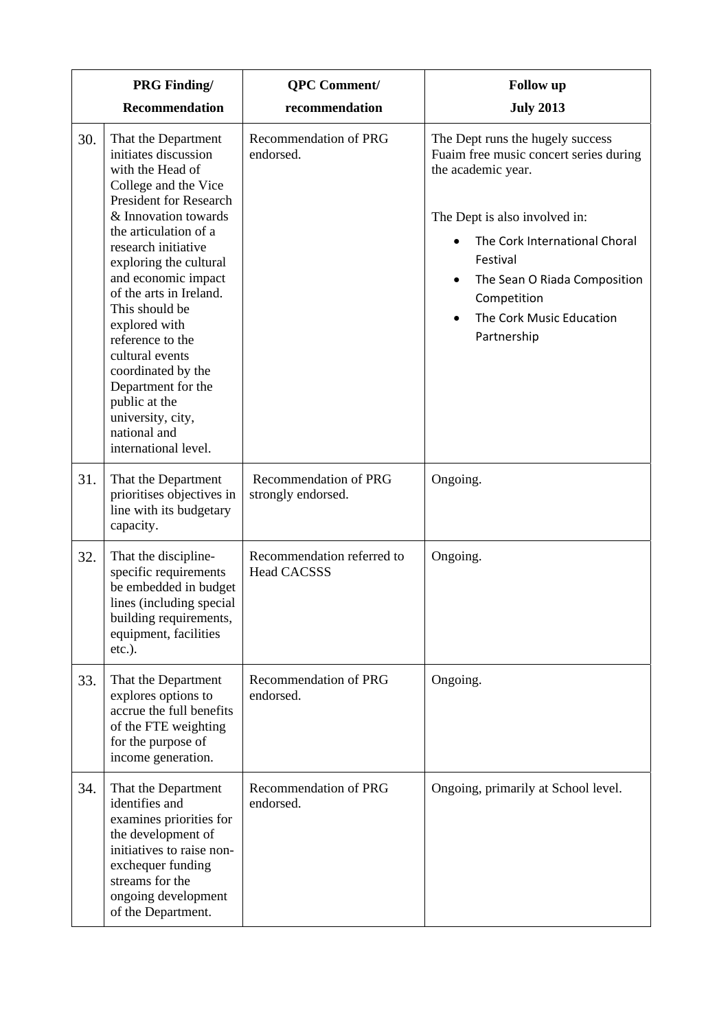|     | <b>PRG Finding/</b>                                                                                                                                                                                                                                                                                                                                                                                                                                                              | <b>QPC</b> Comment/                              | <b>Follow</b> up                                                                                                                                                                                                                                                                      |
|-----|----------------------------------------------------------------------------------------------------------------------------------------------------------------------------------------------------------------------------------------------------------------------------------------------------------------------------------------------------------------------------------------------------------------------------------------------------------------------------------|--------------------------------------------------|---------------------------------------------------------------------------------------------------------------------------------------------------------------------------------------------------------------------------------------------------------------------------------------|
|     | <b>Recommendation</b>                                                                                                                                                                                                                                                                                                                                                                                                                                                            | recommendation                                   | <b>July 2013</b>                                                                                                                                                                                                                                                                      |
| 30. | That the Department<br>initiates discussion<br>with the Head of<br>College and the Vice<br><b>President for Research</b><br>& Innovation towards<br>the articulation of a<br>research initiative<br>exploring the cultural<br>and economic impact<br>of the arts in Ireland.<br>This should be<br>explored with<br>reference to the<br>cultural events<br>coordinated by the<br>Department for the<br>public at the<br>university, city,<br>national and<br>international level. | <b>Recommendation of PRG</b><br>endorsed.        | The Dept runs the hugely success<br>Fuaim free music concert series during<br>the academic year.<br>The Dept is also involved in:<br>The Cork International Choral<br>Festival<br>The Sean O Riada Composition<br>$\bullet$<br>Competition<br>The Cork Music Education<br>Partnership |
| 31. | That the Department<br>prioritises objectives in<br>line with its budgetary<br>capacity.                                                                                                                                                                                                                                                                                                                                                                                         | Recommendation of PRG<br>strongly endorsed.      | Ongoing.                                                                                                                                                                                                                                                                              |
| 32. | That the discipline-<br>specific requirements<br>be embedded in budget<br>lines (including special<br>building requirements,<br>equipment, facilities<br>$etc.$ ).                                                                                                                                                                                                                                                                                                               | Recommendation referred to<br><b>Head CACSSS</b> | Ongoing.                                                                                                                                                                                                                                                                              |
| 33. | That the Department<br>explores options to<br>accrue the full benefits<br>of the FTE weighting<br>for the purpose of<br>income generation.                                                                                                                                                                                                                                                                                                                                       | Recommendation of PRG<br>endorsed.               | Ongoing.                                                                                                                                                                                                                                                                              |
| 34. | That the Department<br>identifies and<br>examines priorities for<br>the development of<br>initiatives to raise non-<br>exchequer funding<br>streams for the<br>ongoing development<br>of the Department.                                                                                                                                                                                                                                                                         | Recommendation of PRG<br>endorsed.               | Ongoing, primarily at School level.                                                                                                                                                                                                                                                   |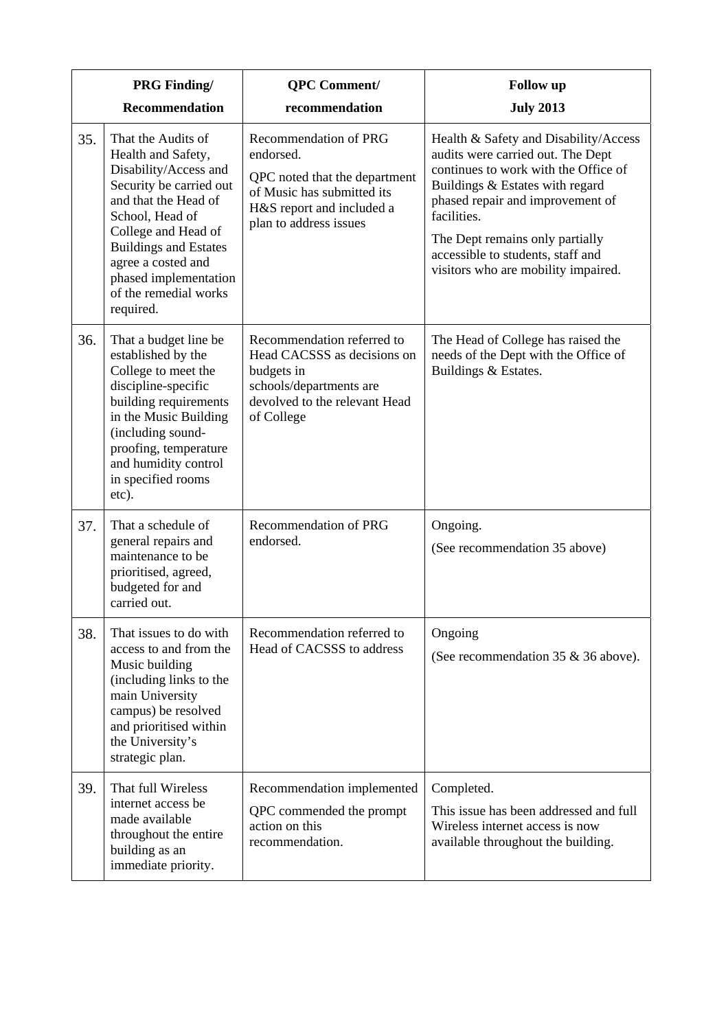| <b>PRG Finding/</b> |                                                                                                                                                                                                                                                                                     | <b>QPC</b> Comment/                                                                                                                                      | <b>Follow</b> up                                                                                                                                                                                                                                                                                                        |
|---------------------|-------------------------------------------------------------------------------------------------------------------------------------------------------------------------------------------------------------------------------------------------------------------------------------|----------------------------------------------------------------------------------------------------------------------------------------------------------|-------------------------------------------------------------------------------------------------------------------------------------------------------------------------------------------------------------------------------------------------------------------------------------------------------------------------|
|                     | <b>Recommendation</b>                                                                                                                                                                                                                                                               | recommendation                                                                                                                                           | <b>July 2013</b>                                                                                                                                                                                                                                                                                                        |
| 35.                 | That the Audits of<br>Health and Safety,<br>Disability/Access and<br>Security be carried out<br>and that the Head of<br>School, Head of<br>College and Head of<br><b>Buildings and Estates</b><br>agree a costed and<br>phased implementation<br>of the remedial works<br>required. | Recommendation of PRG<br>endorsed.<br>QPC noted that the department<br>of Music has submitted its<br>H&S report and included a<br>plan to address issues | Health & Safety and Disability/Access<br>audits were carried out. The Dept<br>continues to work with the Office of<br>Buildings & Estates with regard<br>phased repair and improvement of<br>facilities.<br>The Dept remains only partially<br>accessible to students, staff and<br>visitors who are mobility impaired. |
| 36.                 | That a budget line be<br>established by the<br>College to meet the<br>discipline-specific<br>building requirements<br>in the Music Building<br>(including sound-<br>proofing, temperature<br>and humidity control<br>in specified rooms<br>etc).                                    | Recommendation referred to<br>Head CACSSS as decisions on<br>budgets in<br>schools/departments are<br>devolved to the relevant Head<br>of College        | The Head of College has raised the<br>needs of the Dept with the Office of<br>Buildings & Estates.                                                                                                                                                                                                                      |
| 37.                 | That a schedule of<br>general repairs and<br>maintenance to be<br>prioritised, agreed,<br>budgeted for and<br>carried out.                                                                                                                                                          | Recommendation of PRG<br>endorsed.                                                                                                                       | Ongoing.<br>(See recommendation 35 above)                                                                                                                                                                                                                                                                               |
| 38.                 | That issues to do with<br>access to and from the<br>Music building<br>(including links to the<br>main University<br>campus) be resolved<br>and prioritised within<br>the University's<br>strategic plan.                                                                            | Recommendation referred to<br>Head of CACSSS to address                                                                                                  | Ongoing<br>(See recommendation $35 \& 36$ above).                                                                                                                                                                                                                                                                       |
| 39.                 | That full Wireless<br>internet access be<br>made available<br>throughout the entire<br>building as an<br>immediate priority.                                                                                                                                                        | Recommendation implemented<br>QPC commended the prompt<br>action on this<br>recommendation.                                                              | Completed.<br>This issue has been addressed and full<br>Wireless internet access is now<br>available throughout the building.                                                                                                                                                                                           |